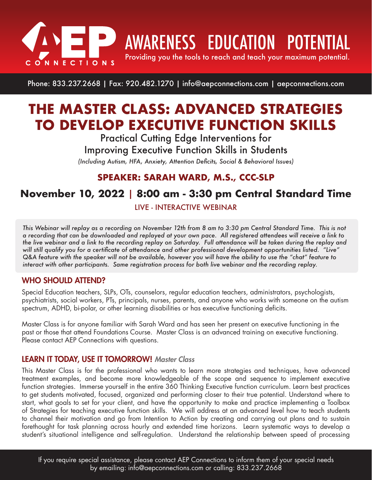

**AWARENESS EDUCATION POTENTIAL** 

Providing you the tools to reach and teach your maximum potential.

Phone: 833.237.2668 | Fax: 920.482.1270 | info@aepconnections.com | aepconnections.com

# **THE MASTER CLASS: ADVANCED STRATEGIES TO DEVELOP EXECUTIVE FUNCTION SKILLS**

Practical Cutting Edge Interventions for Improving Executive Function Skills in Students

*(Including Autism, HFA, Anxiety, Attention Deficits, Social & Behavioral Issues)*

### **SPEAKER: SARAH WARD, M.S., CCC-SLP**

## **November 10, 2022** | **8:00 am - 3:30 pm Central Standard Time**

LIVE - INTERACTIVE WEBINAR

*This Webinar will replay as a recording on November 12th from 8 am to 3:30 pm Central Standard Time. This is not a recording that can be downloaded and replayed at your own pace. All registered attendees will receive a link to the live webinar and a link to the recording replay on Saturday. Full attendance will be taken during the replay and will still qualify you for a certificate of attendance and other professional development opportunities listed. "Live" Q&A feature with the speaker will not be available, however you will have the ability to use the "chat" feature to interact with other participants. Same registration process for both live webinar and the recording replay.*

#### WHO SHOULD ATTEND?

Special Education teachers, SLPs, OTs, counselors, regular education teachers, administrators, psychologists, psychiatrists, social workers, PTs, principals, nurses, parents, and anyone who works with someone on the autism spectrum, ADHD, bi-polar, or other learning disabilities or has executive functioning deficits.

Master Class is for anyone familiar with Sarah Ward and has seen her present on executive functioning in the past or those that attend Foundations Course. Master Class is an advanced training on executive functioning. Please contact AEP Connections with questions.

#### LEARN IT TODAY, USE IT TOMORROW! *Master Class*

This Master Class is for the professional who wants to learn more strategies and techniques, have advanced treatment examples, and become more knowledgeable of the scope and sequence to implement executive function strategies. Immerse yourself in the entire 360 Thinking Executive function curriculum. Learn best practices to get students motivated, focused, organized and performing closer to their true potential. Understand where to start, what goals to set for your client, and have the opportunity to make and practice implementing a Toolbox of Strategies for teaching executive function skills. We will address at an advanced level how to teach students to channel their motivation and go from Intention to Action by creating and carrying out plans and to sustain forethought for task planning across hourly and extended time horizons. Learn systematic ways to develop a student's situational intelligence and self-regulation. Understand the relationship between speed of processing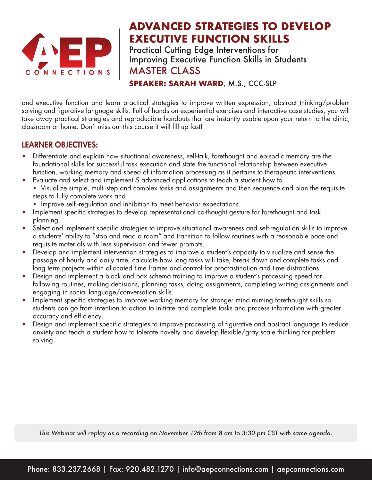

## **ADVANCED STRATEGIES TO DEVELOP EXECUTIVE FUNCTION SKILLS**

Practical Cutting Edge Interventions for Improving Executive Function Skills in Students MASTER CLASS

**SPEAKER: SARAH WARD**, M.S., CCC-SLP

and executive function and learn practical strategies to improve written expression, abstract thinking/problem solving and figurative language skills. Full of hands on experiential exercises and interactive case studies, you will take away practical strategies and reproducible handouts that are instantly usable upon your return to the clinic, classroom or home. Don't miss out this course it will fill up fast!

#### LEARNER OBJECTIVES:

- Differentiate and explain how situational awareness, self-talk, forethought and episodic memory are the foundational skills for successful task execution and state the functional relationship between executive function, working memory and speed of information processing as it pertains to therapeutic interventions.
- Evaluate and select and implement 5 advanced applications to teach a student how to Visualize simple, multi-step and complex tasks and assignments and then sequence and plan the requisite steps to fully complete work and
	- Improve self -regulation and inhibition to meet behavior expectations.
- Implement specific strategies to develop representational co-thought gesture for forethought and task planning.
- Select and implement specific strategies to improve situational awareness and self-regulation skills to improve a students' ability to "stop and read a room" and transition to follow routines with a reasonable pace and requisite materials with less supervision and fewer prompts.
- Develop and implement intervention strategies to improve a student's capacity to visualize and sense the passage of hourly and daily time, calculate how long tasks will take, break down and complete tasks and long term projects within allocated time frames and control for procrastination and time distractions.
- Design and implement a block and box schema training to improve a student's processing speed for following routines, making decisions, planning tasks, doing assignments, completing writing assignments and engaging in social language/conversation skills.
- Implement specific strategies to improve working memory for stronger mind miming forethought skills so students can go from intention to action to initiate and complete tasks and process information with greater accuracy and efficiency.
- Design and implement specific strategies to improve processing of figurative and abstract language to reduce anxiety and teach a student how to tolerate novelty and develop flexible/gray scale thinking for problem solving.

*This Webinar will replay as a recording on November 12th from 8 am to 3:30 pm CST with same agenda.*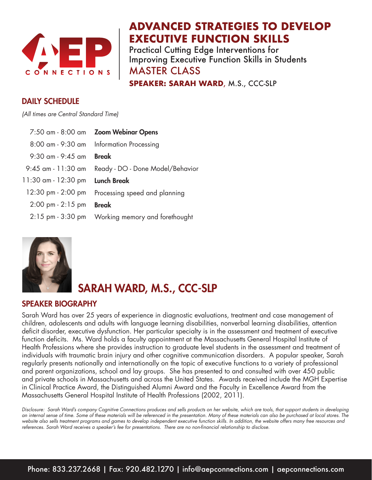

## **ADVANCED STRATEGIES TO DEVELOP EXECUTIVE FUNCTION SKILLS**

Practical Cutting Edge Interventions for Improving Executive Function Skills in Students MASTER CLASS

**SPEAKER: SARAH WARD**, M.S., CCC-SLP

#### DAILY SCHEDULE

*(All times are Central Standard Time)*

|                                     | 7:50 am - 8:00 am Zoom Webinar Opens     |
|-------------------------------------|------------------------------------------|
|                                     | 8:00 am - 9:30 am Information Processing |
| $9:30$ am - $9:45$ am               | <b>Break</b>                             |
| 9:45 am - 11:30 am                  | Ready - DO - Done Model/Behavior         |
| 11:30 am - 12:30 pm                 | <b>Lunch Break</b>                       |
| 12:30 pm - 2:00 pm                  | Processing speed and planning            |
| $2:00 \text{ pm} - 2:15 \text{ pm}$ | <b>Break</b>                             |
|                                     |                                          |



## SARAH WARD, M.S., CCC-SLP

#### SPEAKER BIOGRAPHY

Sarah Ward has over 25 years of experience in diagnostic evaluations, treatment and case management of children, adolescents and adults with language learning disabilities, nonverbal learning disabilities, attention deficit disorder, executive dysfunction. Her particular specialty is in the assessment and treatment of executive function deficits. Ms. Ward holds a faculty appointment at the Massachusetts General Hospital Institute of Health Professions where she provides instruction to graduate level students in the assessment and treatment of individuals with traumatic brain injury and other cognitive communication disorders. A popular speaker, Sarah regularly presents nationally and internationally on the topic of executive functions to a variety of professional and parent organizations, school and lay groups. She has presented to and consulted with over 450 public and private schools in Massachusetts and across the United States. Awards received include the MGH Expertise in Clinical Practice Award, the Distinguished Alumni Award and the Faculty in Excellence Award from the Massachusetts General Hospital Institute of Health Professions (2002, 2011).

*Disclosure: Sarah Ward's company Cognitive Connections produces and sells products on her website, which are tools, that support students in developing an internal sense of time. Some of these materials will be referenced in the presentation. Many of these materials can also be purchased at local stores. The website also sells treatment programs and games to develop independent executive function skills. In addition, the website offers many free resources and*  references. Sarah Ward receives a speaker's fee for presentations. There are no non-financial relationship to disclose.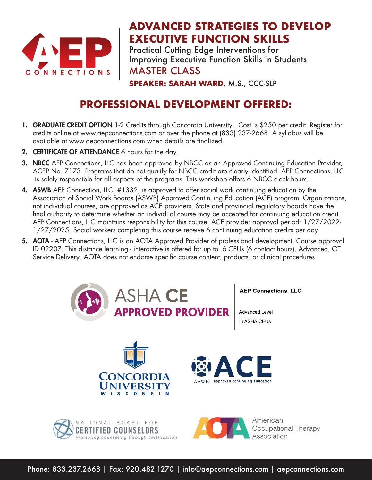

## **ADVANCED STRATEGIES TO DEVELOP EXECUTIVE FUNCTION SKILLS**

Practical Cutting Edge Interventions for Improving Executive Function Skills in Students MASTER CLASS

**SPEAKER: SARAH WARD**, M.S., CCC-SLP

## **PROFESSIONAL DEVELOPMENT OFFERED:**

- 1. GRADUATE CREDIT OPTION 1-2 Credits through Concordia University. Cost is \$250 per credit. Register for credits online at www.aepconnections.com or over the phone at (833) 237-2668. A syllabus will be available at www.aepconnections.com when details are finalized.
- 2. **CERTIFICATE OF ATTENDANCE** 6 hours for the day.
- **3. NBCC** AEP Connections, LLC has been approved by NBCC as an Approved Continuing Education Provider, ACEP No. 7173. Programs that do not qualify for NBCC credit are clearly identified. AEP Connections, LLC is solely responsible for all aspects of the programs. This workshop offers 6 NBCC clock hours.
- 4. ASWB AEP Connection, LLC, #1332, is approved to offer social work continuing education by the Association of Social Work Boards (ASWB) Approved Continuing Education (ACE) program. Organizations, not individual courses, are approved as ACE providers. State and provincial regulatory boards have the final authority to determine whether an individual course may be accepted for continuing education credit. AEP Connections, LLC maintains responsibility for this course. ACE provider approval period: 1/27/2022- 1/27/2025. Social workers completing this course receive 6 continuing education credits per day.
- 5. AOTA AEP Connections, LLC is an AOTA Approved Provider of professional development. Course approval ID 02207. This distance learning - interactive is offered for up to .6 CEUs (6 contact hours). Advanced, OT Service Delivery. AOTA does not endorse specific course content, products, or clinical procedures.



Phone: 833.237.2668 | Fax: 920.482.1270 | info@aepconnections.com | aepconnections.com